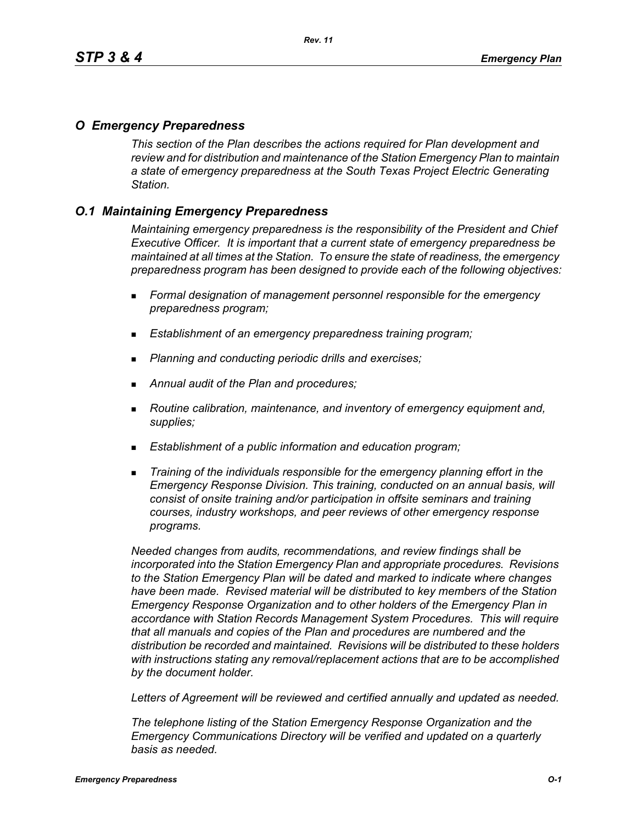### *O Emergency Preparedness*

*This section of the Plan describes the actions required for Plan development and review and for distribution and maintenance of the Station Emergency Plan to maintain a state of emergency preparedness at the South Texas Project Electric Generating Station.*

# *O.1 Maintaining Emergency Preparedness*

*Maintaining emergency preparedness is the responsibility of the President and Chief Executive Officer. It is important that a current state of emergency preparedness be maintained at all times at the Station. To ensure the state of readiness, the emergency preparedness program has been designed to provide each of the following objectives:*

- *Formal designation of management personnel responsible for the emergency preparedness program;*
- *Establishment of an emergency preparedness training program;*
- *Planning and conducting periodic drills and exercises;*
- *Annual audit of the Plan and procedures;*
- *Routine calibration, maintenance, and inventory of emergency equipment and, supplies;*
- *Establishment of a public information and education program;*
- *Training of the individuals responsible for the emergency planning effort in the Emergency Response Division. This training, conducted on an annual basis, will consist of onsite training and/or participation in offsite seminars and training courses, industry workshops, and peer reviews of other emergency response programs.*

*Needed changes from audits, recommendations, and review findings shall be incorporated into the Station Emergency Plan and appropriate procedures. Revisions to the Station Emergency Plan will be dated and marked to indicate where changes have been made. Revised material will be distributed to key members of the Station Emergency Response Organization and to other holders of the Emergency Plan in accordance with Station Records Management System Procedures. This will require that all manuals and copies of the Plan and procedures are numbered and the distribution be recorded and maintained. Revisions will be distributed to these holders with instructions stating any removal/replacement actions that are to be accomplished by the document holder.*

*Letters of Agreement will be reviewed and certified annually and updated as needed.*

*The telephone listing of the Station Emergency Response Organization and the Emergency Communications Directory will be verified and updated on a quarterly basis as needed.*